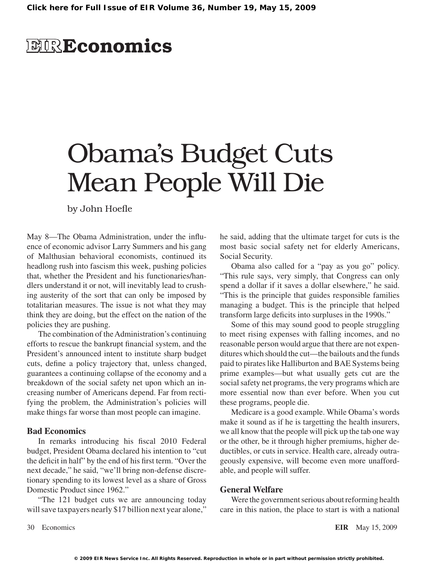# **EIRE**conomics

# Obama's Budget Cuts Mean People Will Die

by John Hoefle

May 8—The Obama Administration, under the influence of economic advisor Larry Summers and his gang of Malthusian behavioral economists, continued its headlong rush into fascism this week, pushing policies that, whether the President and his functionaries/handlers understand it or not, will inevitably lead to crushing austerity of the sort that can only be imposed by totalitarian measures. The issue is not what they may think they are doing, but the effect on the nation of the policies they are pushing.

The combination of the Administration's continuing efforts to rescue the bankrupt financial system, and the President's announced intent to institute sharp budget cuts, define a policy trajectory that, unless changed, guarantees a continuing collapse of the economy and a breakdown of the social safety net upon which an increasing number of Americans depend. Far from rectifying the problem, the Administration's policies will make things far worse than most people can imagine.

## **Bad Economics**

In remarks introducing his fiscal 2010 Federal budget, President Obama declared his intention to "cut the deficit in half" by the end of his first term. "Over the next decade," he said, "we'll bring non-defense discretionary spending to its lowest level as a share of Gross Domestic Product since 1962."

"The 121 budget cuts we are announcing today will save taxpayers nearly \$17 billion next year alone," he said, adding that the ultimate target for cuts is the most basic social safety net for elderly Americans, Social Security.

Obama also called for a "pay as you go" policy. "This rule says, very simply, that Congress can only spend a dollar if it saves a dollar elsewhere," he said. "This is the principle that guides responsible families managing a budget. This is the principle that helped transform large deficits into surpluses in the 1990s."

Some of this may sound good to people struggling to meet rising expenses with falling incomes, and no reasonable person would argue that there are not expenditures which should the cut—the bailouts and the funds paid to pirates like Halliburton and BAE Systems being prime examples—but what usually gets cut are the social safety net programs, the very programs which are more essential now than ever before. When you cut these programs, people die.

Medicare is a good example. While Obama's words make it sound as if he is targetting the health insurers, we all know that the people will pick up the tab one way or the other, be it through higher premiums, higher deductibles, or cuts in service. Health care, already outrageously expensive, will become even more unaffordable, and people will suffer.

### **General Welfare**

Were the government serious about reforming health care in this nation, the place to start is with a national

30 Economics **EIR** May 15, 2009